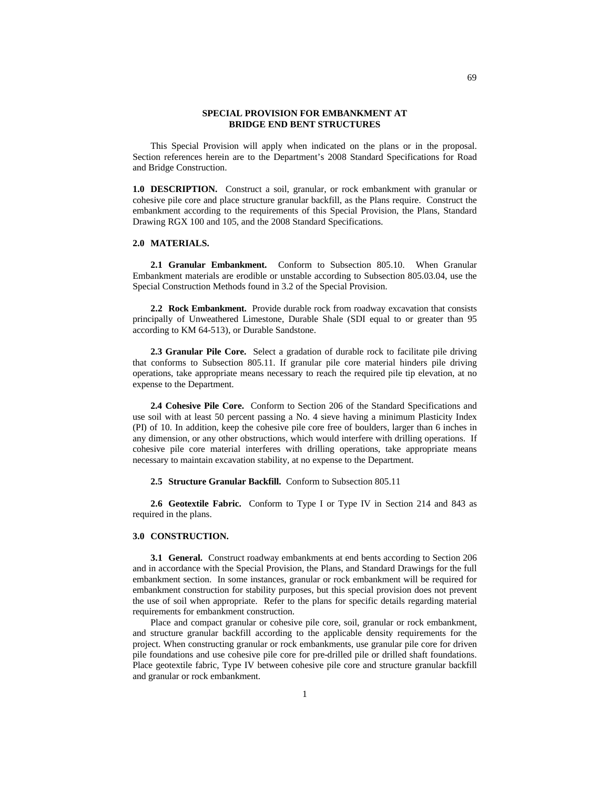## **SPECIAL PROVISION FOR EMBANKMENT AT BRIDGE END BENT STRUCTURES**

This Special Provision will apply when indicated on the plans or in the proposal. Section references herein are to the Department's 2008 Standard Specifications for Road and Bridge Construction.

**1.0 DESCRIPTION.** Construct a soil, granular, or rock embankment with granular or cohesive pile core and place structure granular backfill, as the Plans require. Construct the embankment according to the requirements of this Special Provision, the Plans, Standard Drawing RGX 100 and 105, and the 2008 Standard Specifications.

## **2.0 MATERIALS.**

**2.1 Granular Embankment.** Conform to Subsection 805.10. When Granular Embankment materials are erodible or unstable according to Subsection 805.03.04, use the Special Construction Methods found in 3.2 of the Special Provision.

**2.2 Rock Embankment.** Provide durable rock from roadway excavation that consists principally of Unweathered Limestone, Durable Shale (SDI equal to or greater than 95 according to KM 64-513), or Durable Sandstone.

2.3 Granular Pile Core. Select a gradation of durable rock to facilitate pile driving that conforms to Subsection 805.11. If granular pile core material hinders pile driving operations, take appropriate means necessary to reach the required pile tip elevation, at no expense to the Department.

**2.4 Cohesive Pile Core.** Conform to Section 206 of the Standard Specifications and use soil with at least 50 percent passing a No. 4 sieve having a minimum Plasticity Index (PI) of 10. In addition, keep the cohesive pile core free of boulders, larger than 6 inches in any dimension, or any other obstructions, which would interfere with drilling operations. If cohesive pile core material interferes with drilling operations, take appropriate means necessary to maintain excavation stability, at no expense to the Department.

**2.5 Structure Granular Backfill.** Conform to Subsection 805.11

**2.6 Geotextile Fabric.** Conform to Type I or Type IV in Section 214 and 843 as required in the plans.

## **3.0 CONSTRUCTION.**

**3.1 General.** Construct roadway embankments at end bents according to Section 206 and in accordance with the Special Provision, the Plans, and Standard Drawings for the full embankment section. In some instances, granular or rock embankment will be required for embankment construction for stability purposes, but this special provision does not prevent the use of soil when appropriate. Refer to the plans for specific details regarding material requirements for embankment construction.

Place and compact granular or cohesive pile core, soil, granular or rock embankment, and structure granular backfill according to the applicable density requirements for the project. When constructing granular or rock embankments, use granular pile core for driven pile foundations and use cohesive pile core for pre-drilled pile or drilled shaft foundations. Place geotextile fabric, Type IV between cohesive pile core and structure granular backfill and granular or rock embankment.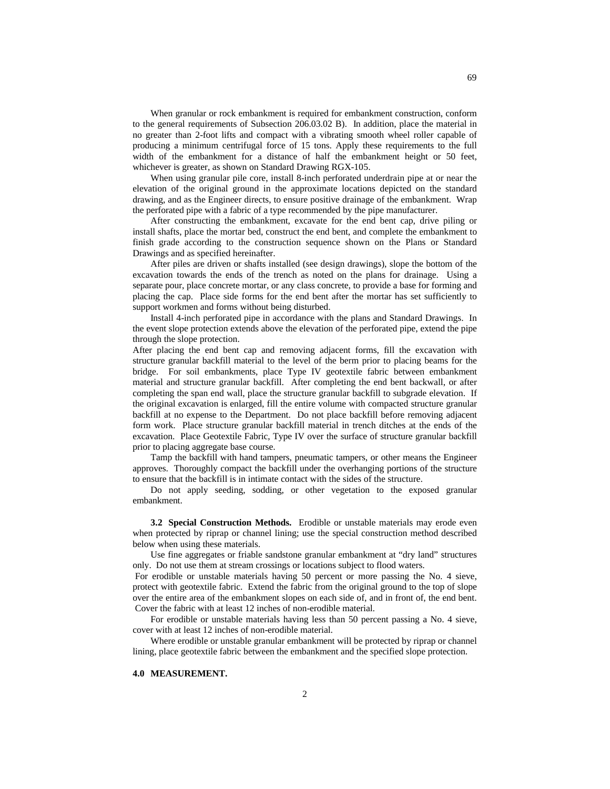When granular or rock embankment is required for embankment construction, conform to the general requirements of Subsection 206.03.02 B). In addition, place the material in no greater than 2-foot lifts and compact with a vibrating smooth wheel roller capable of producing a minimum centrifugal force of 15 tons. Apply these requirements to the full width of the embankment for a distance of half the embankment height or 50 feet, whichever is greater, as shown on Standard Drawing RGX-105.

When using granular pile core, install 8-inch perforated underdrain pipe at or near the elevation of the original ground in the approximate locations depicted on the standard drawing, and as the Engineer directs, to ensure positive drainage of the embankment. Wrap the perforated pipe with a fabric of a type recommended by the pipe manufacturer.

After constructing the embankment, excavate for the end bent cap, drive piling or install shafts, place the mortar bed, construct the end bent, and complete the embankment to finish grade according to the construction sequence shown on the Plans or Standard Drawings and as specified hereinafter.

After piles are driven or shafts installed (see design drawings), slope the bottom of the excavation towards the ends of the trench as noted on the plans for drainage. Using a separate pour, place concrete mortar, or any class concrete, to provide a base for forming and placing the cap. Place side forms for the end bent after the mortar has set sufficiently to support workmen and forms without being disturbed.

Install 4-inch perforated pipe in accordance with the plans and Standard Drawings. In the event slope protection extends above the elevation of the perforated pipe, extend the pipe through the slope protection.

After placing the end bent cap and removing adjacent forms, fill the excavation with structure granular backfill material to the level of the berm prior to placing beams for the bridge. For soil embankments, place Type IV geotextile fabric between embankment material and structure granular backfill. After completing the end bent backwall, or after completing the span end wall, place the structure granular backfill to subgrade elevation. If the original excavation is enlarged, fill the entire volume with compacted structure granular backfill at no expense to the Department. Do not place backfill before removing adjacent form work. Place structure granular backfill material in trench ditches at the ends of the excavation. Place Geotextile Fabric, Type IV over the surface of structure granular backfill prior to placing aggregate base course.

Tamp the backfill with hand tampers, pneumatic tampers, or other means the Engineer approves. Thoroughly compact the backfill under the overhanging portions of the structure to ensure that the backfill is in intimate contact with the sides of the structure.

Do not apply seeding, sodding, or other vegetation to the exposed granular embankment.

**3.2 Special Construction Methods.** Erodible or unstable materials may erode even when protected by riprap or channel lining; use the special construction method described below when using these materials.

Use fine aggregates or friable sandstone granular embankment at "dry land" structures only. Do not use them at stream crossings or locations subject to flood waters.

For erodible or unstable materials having 50 percent or more passing the No. 4 sieve, protect with geotextile fabric. Extend the fabric from the original ground to the top of slope over the entire area of the embankment slopes on each side of, and in front of, the end bent. Cover the fabric with at least 12 inches of non-erodible material.

For erodible or unstable materials having less than 50 percent passing a No. 4 sieve, cover with at least 12 inches of non-erodible material.

Where erodible or unstable granular embankment will be protected by riprap or channel lining, place geotextile fabric between the embankment and the specified slope protection.

## **4.0 MEASUREMENT.**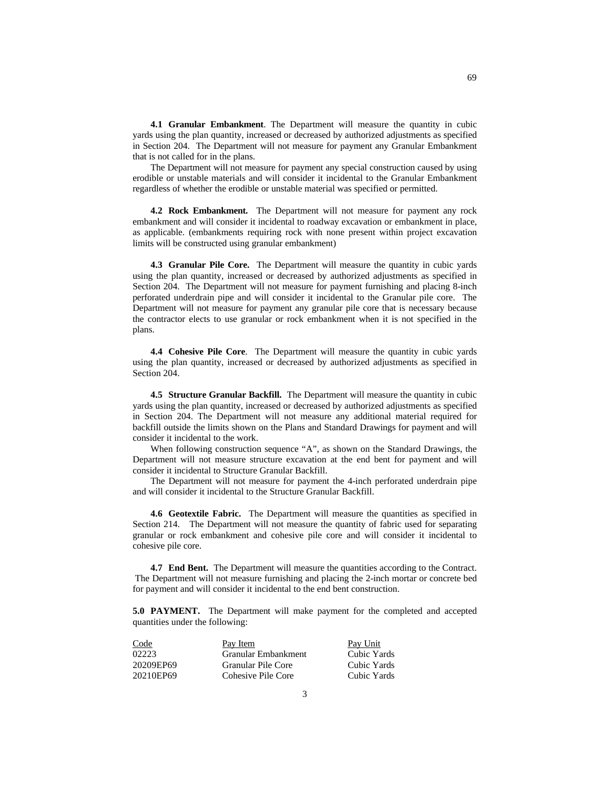**4.1 Granular Embankment**. The Department will measure the quantity in cubic yards using the plan quantity, increased or decreased by authorized adjustments as specified in Section 204. The Department will not measure for payment any Granular Embankment that is not called for in the plans.

The Department will not measure for payment any special construction caused by using erodible or unstable materials and will consider it incidental to the Granular Embankment regardless of whether the erodible or unstable material was specified or permitted.

**4.2 Rock Embankment.** The Department will not measure for payment any rock embankment and will consider it incidental to roadway excavation or embankment in place, as applicable. (embankments requiring rock with none present within project excavation limits will be constructed using granular embankment)

**4.3 Granular Pile Core.** The Department will measure the quantity in cubic yards using the plan quantity, increased or decreased by authorized adjustments as specified in Section 204. The Department will not measure for payment furnishing and placing 8-inch perforated underdrain pipe and will consider it incidental to the Granular pile core. The Department will not measure for payment any granular pile core that is necessary because the contractor elects to use granular or rock embankment when it is not specified in the plans.

**4.4 Cohesive Pile Core**. The Department will measure the quantity in cubic yards using the plan quantity, increased or decreased by authorized adjustments as specified in Section 204.

**4.5 Structure Granular Backfill.** The Department will measure the quantity in cubic yards using the plan quantity, increased or decreased by authorized adjustments as specified in Section 204. The Department will not measure any additional material required for backfill outside the limits shown on the Plans and Standard Drawings for payment and will consider it incidental to the work.

When following construction sequence "A", as shown on the Standard Drawings, the Department will not measure structure excavation at the end bent for payment and will consider it incidental to Structure Granular Backfill.

The Department will not measure for payment the 4-inch perforated underdrain pipe and will consider it incidental to the Structure Granular Backfill.

**4.6 Geotextile Fabric.** The Department will measure the quantities as specified in Section 214. The Department will not measure the quantity of fabric used for separating granular or rock embankment and cohesive pile core and will consider it incidental to cohesive pile core.

**4.7 End Bent.** The Department will measure the quantities according to the Contract. The Department will not measure furnishing and placing the 2-inch mortar or concrete bed for payment and will consider it incidental to the end bent construction.

**5.0 PAYMENT.** The Department will make payment for the completed and accepted quantities under the following:

| Code      | Pay Item            | Pay Unit    |
|-----------|---------------------|-------------|
| 02223     | Granular Embankment | Cubic Yards |
| 20209EP69 | Granular Pile Core  | Cubic Yards |
| 20210EP69 | Cohesive Pile Core  | Cubic Yards |